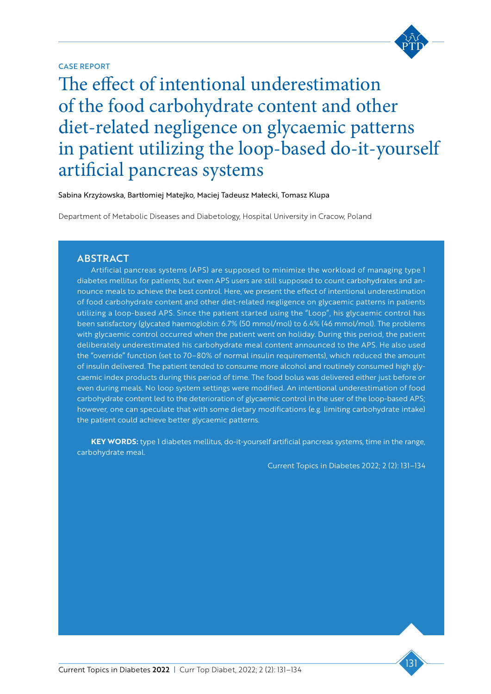## CASE REPORT

Tatquae consequi doluptatum doluptatem The effect of intentional underestimation of the food carbohydrate content and other Equam, cuptatia quis quo maio. Itate sedignatur apid et faccuptatqui voluptas ut essimi, aperis de lit es ut etur? Turk arum diet-related negligence on glycaemic patterns in patient utilizing the loop-based do-it-yourself artificial pancreas systems

Sabina Krzyżowska, Bartłomiej Matejko, Maciej Tadeusz Małecki, Tomasz Klupa

م<br>ا Department of Metabolic Diseases and Diabetology, Hospital University in Cracow, Poland

# **ABSTRACT**

Artificial pancreas systems (APS) are supposed to minimize the workload of managing type 1 diabetes mellitus for patients, but even APS users are still supposed to count carbohydrates and announce meals to achieve the best control. Here, we present the effect of intentional underestimation of food carbohydrate content and other diet-related negligence on glycaemic patterns in patients utilizing a loop-based APS. Since the patient started using the "Loop", his glycaemic control has been satisfactory (glycated haemoglobin: 6.7% (50 mmol/mol) to 6.4% (46 mmol/mol). The problems with glycaemic control occurred when the patient went on holiday. During this period, the patient deliberately underestimated his carbohydrate meal content announced to the APS. He also used the "override" function (set to 70–80% of normal insulin requirements), which reduced the amount of insulin delivered. The patient tended to consume more alcohol and routinely consumed high glycaemic index products during this period of time. The food bolus was delivered either just before or even during meals. No loop system settings were modified. An intentional underestimation of food carbohydrate content led to the deterioration of glycaemic control in the user of the loop-based APS; however, one can speculate that with some dietary modifications (e.g. limiting carbohydrate intake) the patient could achieve better glycaemic patterns.

KEY WORDS: type 1 diabetes mellitus, do-it-yourself artificial pancreas systems, time in the range, carbohydrate meal.

Current Topics in Diabetes 2022; 2 (2): 131–134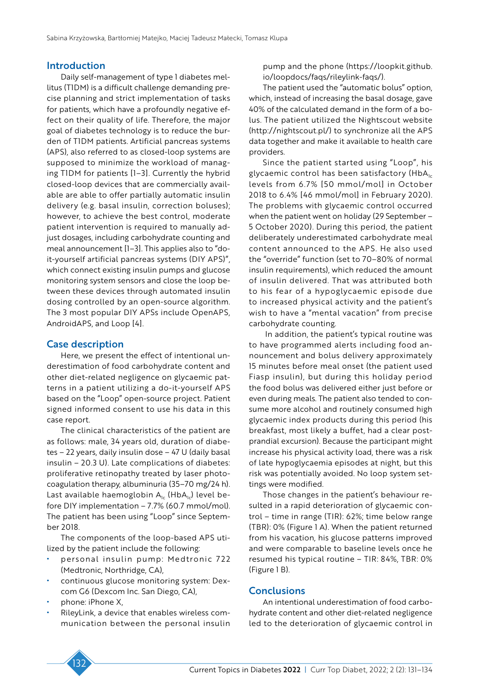#### Introduction

Daily self-management of type 1 diabetes mellitus (T1DM) is a difficult challenge demanding precise planning and strict implementation of tasks for patients, which have a profoundly negative effect on their quality of life. Therefore, the major goal of diabetes technology is to reduce the burden of T1DM patients. Artificial pancreas systems (APS), also referred to as closed-loop systems are supposed to minimize the workload of managing T1DM for patients [1–3]. Currently the hybrid closed-loop devices that are commercially available are able to offer partially automatic insulin delivery (e.g. basal insulin, correction boluses); however, to achieve the best control, moderate patient intervention is required to manually adjust dosages, including carbohydrate counting and meal announcement [1–3]. This applies also to "doit-yourself artificial pancreas systems (DIY APS)", which connect existing insulin pumps and glucose monitoring system sensors and close the loop between these devices through automated insulin dosing controlled by an open-source algorithm. The 3 most popular DIY APSs include OpenAPS, AndroidAPS, and Loop [4].

### Case description

Here, we present the effect of intentional underestimation of food carbohydrate content and other diet-related negligence on glycaemic patterns in a patient utilizing a do-it-yourself APS based on the "Loop" open-source project. Patient signed informed consent to use his data in this case report.

The clinical characteristics of the patient are as follows: male, 34 years old, duration of diabetes – 22 years, daily insulin dose – 47 U (daily basal insulin – 20.3 U). Late complications of diabetes: proliferative retinopathy treated by laser photocoagulation therapy, albuminuria (35–70 mg/24 h). Last available haemoglobin  $A_{1c}$  (Hb $A_{1c}$ ) level before DIY implementation – 7.7% (60.7 mmol/mol). The patient has been using "Loop" since September 2018.

The components of the loop-based APS utilized by the patient include the following:

- personal insulin pump: Medtronic 722 (Medtronic, Northridge, CA),
- continuous glucose monitoring system: Dexcom G6 (Dexcom Inc. San Diego, CA),
- phone: iPhone X,
- RileyLink, a device that enables wireless communication between the personal insulin

pump and the phone (https://loopkit.github. io/loopdocs/faqs/rileylink-faqs/).

The patient used the "automatic bolus" option, which, instead of increasing the basal dosage, gave 40% of the calculated demand in the form of a bolus. The patient utilized the Nightscout website (http://nightscout.pl/) to synchronize all the APS data together and make it available to health care providers.

Since the patient started using "Loop", his glycaemic control has been satisfactory (HbA $_{1c}$ levels from 6.7% [50 mmol/mol] in October 2018 to 6.4% [46 mmol/mol] in February 2020). The problems with glycaemic control occurred when the patient went on holiday (29 September – 5 October 2020). During this period, the patient deliberately underestimated carbohydrate meal content announced to the APS. He also used the "override" function (set to 70–80% of normal insulin requirements), which reduced the amount of insulin delivered. That was attributed both to his fear of a hypoglycaemic episode due to increased physical activity and the patient's wish to have a "mental vacation" from precise carbohydrate counting.

 In addition, the patient's typical routine was to have programmed alerts including food announcement and bolus delivery approximately 15 minutes before meal onset (the patient used Fiasp insulin), but during this holiday period the food bolus was delivered either just before or even during meals. The patient also tended to consume more alcohol and routinely consumed high glycaemic index products during this period (his breakfast, most likely a buffet, had a clear postprandial excursion). Because the participant might increase his physical activity load, there was a risk of late hypoglycaemia episodes at night, but this risk was potentially avoided. No loop system settings were modified.

Those changes in the patient's behaviour resulted in a rapid deterioration of glycaemic control – time in range (TIR): 62%; time below range (TBR): 0% (Figure 1 A). When the patient returned from his vacation, his glucose patterns improved and were comparable to baseline levels once he resumed his typical routine – TIR: 84%, TBR: 0% (Figure 1 B).

#### **Conclusions**

An intentional underestimation of food carbohydrate content and other diet-related negligence led to the deterioration of glycaemic control in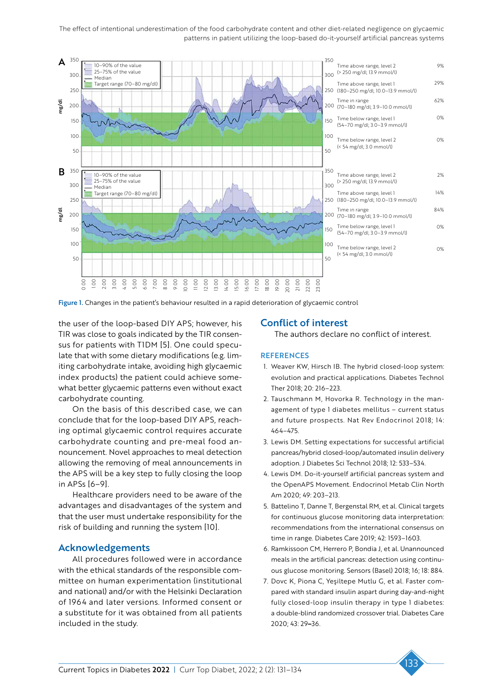The effect of intentional underestimation of the food carbohydrate content and other diet-related negligence on glycaemic patterns in patient utilizing the loop-based do-it-yourself artificial pancreas systems



Figure 1. Changes in the patient's behaviour resulted in a rapid deterioration of glycaemic control

the user of the loop-based DIY APS; however, his TIR was close to goals indicated by the TIR consensus for patients with T1DM [5]. One could speculate that with some dietary modifications (e.g. limiting carbohydrate intake, avoiding high glycaemic index products) the patient could achieve somewhat better glycaemic patterns even without exact carbohydrate counting.

On the basis of this described case, we can conclude that for the loop-based DIY APS, reaching optimal glycaemic control requires accurate carbohydrate counting and pre-meal food announcement. Novel approaches to meal detection allowing the removing of meal announcements in the APS will be a key step to fully closing the loop in APSs [6–9].

Healthcare providers need to be aware of the advantages and disadvantages of the system and that the user must undertake responsibility for the risk of building and running the system [10].

#### Acknowledgements

All procedures followed were in accordance with the ethical standards of the responsible committee on human experimentation (institutional and national) and/or with the Helsinki Declaration of 1964 and later versions. Informed consent or a substitute for it was obtained from all patients included in the study.

### Conflict of interest

The authors declare no conflict of interest.

#### **REFERENCES**

- 1. Weaver KW, Hirsch IB. The hybrid closed-loop system: evolution and practical applications. Diabetes Technol Ther 2018; 20: 216–223.
- 2. Tauschmann M, Hovorka R. Technology in the management of type 1 diabetes mellitus – current status and future prospects. Nat Rev Endocrinol 2018; 14: 464–475.
- 3. Lewis DM. Setting expectations for successful artificial pancreas/hybrid closed-loop/automated insulin delivery adoption. J Diabetes Sci Technol 2018; 12: 533–534.
- 4. Lewis DM. Do-it-yourself artificial pancreas system and the OpenAPS Movement. Endocrinol Metab Clin North Am 2020; 49: 203–213.
- 5. Battelino T, Danne T, Bergenstal RM, et al. Clinical targets for continuous glucose monitoring data interpretation: recommendations from the international consensus on time in range. Diabetes Care 2019; 42: 1593–1603.
- 6. Ramkissoon CM, Herrero P, Bondia J, et al. Unannounced meals in the artificial pancreas: detection using continuous glucose monitoring. Sensors (Basel) 2018; 16; 18: 884.
- 7. Dovc K, Piona C, Yeşiltepe Mutlu G, et al. Faster compared with standard insulin aspart during day-and-night fully closed-loop insulin therapy in type 1 diabetes: a double-blind randomized crossover trial. Diabetes Care 2020; 43: 29**–**36.